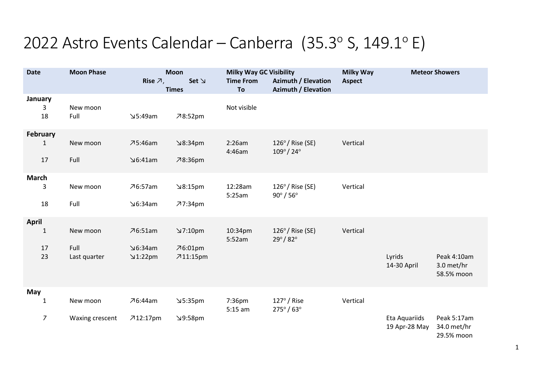## 2022 Astro Events Calendar – Canberra (35.3 $\textdegree$  S, 149.1 $\textdegree$  E)

| <b>Date</b>     |                | <b>Moon Phase</b> | <b>Moon</b>           |              | <b>Milky Way GC Visibility</b> |                                                     | <b>Milky Way</b> | <b>Meteor Showers</b>          |                                          |
|-----------------|----------------|-------------------|-----------------------|--------------|--------------------------------|-----------------------------------------------------|------------------|--------------------------------|------------------------------------------|
|                 |                |                   | Rise $\overline{A}$ , | $Set \simeq$ | <b>Time From</b>               | <b>Azimuth / Elevation</b>                          | <b>Aspect</b>    |                                |                                          |
|                 | January        |                   |                       | <b>Times</b> | To                             | <b>Azimuth / Elevation</b>                          |                  |                                |                                          |
|                 | 3              | New moon          |                       |              | Not visible                    |                                                     |                  |                                |                                          |
|                 | 18             | Full              | 5:49am                | 78:52pm      |                                |                                                     |                  |                                |                                          |
| <b>February</b> |                |                   |                       |              |                                |                                                     |                  |                                |                                          |
|                 | $\mathbf{1}$   | New moon          | 75:46am               | 9:34pm       | 2:26am<br>4:46am               | $126^\circ/$ Rise (SE)<br>$109^{\circ}/ 24^{\circ}$ | Vertical         |                                |                                          |
|                 | 17             | Full              | $\Delta$ 6:41am       | 78:36pm      |                                |                                                     |                  |                                |                                          |
| <b>March</b>    |                |                   |                       |              |                                |                                                     |                  |                                |                                          |
|                 | 3              | New moon          | 76:57am               | 8:15pm       | 12:28am<br>5:25am              | $126^\circ/$ Rise (SE)<br>$90^\circ / 56^\circ$     | Vertical         |                                |                                          |
|                 | 18             | Full              | $\Delta$ 6:34am       | 77:34pm      |                                |                                                     |                  |                                |                                          |
| <b>April</b>    |                |                   |                       |              |                                |                                                     |                  |                                |                                          |
|                 | $\mathbf{1}$   | New moon          | 76:51am               | 7:10pm       | 10:34pm<br>5:52am              | $126^\circ/$ Rise (SE)<br>$29^{\circ}/82^{\circ}$   | Vertical         |                                |                                          |
|                 | 17             | Full              | $\Delta$ 6:34am       | $76:01$ pm   |                                |                                                     |                  |                                |                                          |
|                 | 23             | Last quarter      | $\angle$ 1:22pm       | 711:15pm     |                                |                                                     |                  | Lyrids<br>14-30 April          | Peak 4:10am<br>3.0 met/hr<br>58.5% moon  |
| May             |                |                   |                       |              |                                |                                                     |                  |                                |                                          |
|                 | $\mathbf{1}$   | New moon          | 76:44am               | 5:35pm       | 7:36pm<br>$5:15$ am            | $127^\circ$ / Rise<br>$275^{\circ} / 63^{\circ}$    | Vertical         |                                |                                          |
|                 | $\overline{7}$ | Waxing crescent   | 712:17pm              | 9:58pm       |                                |                                                     |                  | Eta Aquariids<br>19 Apr-28 May | Peak 5:17am<br>34.0 met/hr<br>29.5% moon |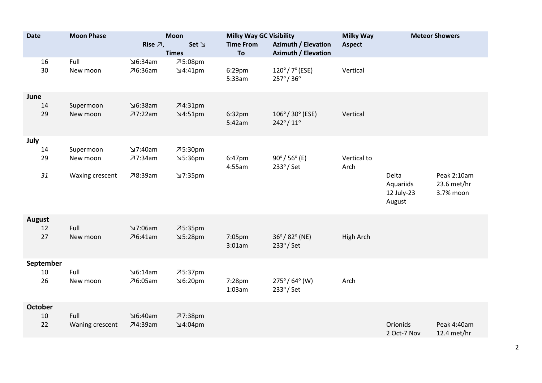| <b>Date</b>    | <b>Moon Phase</b>       | <b>Moon</b><br>Rise $\overline{A}$ ,<br>$Set \simeq$ |                               | <b>Milky Way GC Visibility</b><br><b>Time From</b><br><b>Azimuth / Elevation</b> |                                                             | <b>Milky Way</b><br><b>Aspect</b> | <b>Meteor Showers</b>                      |                                         |
|----------------|-------------------------|------------------------------------------------------|-------------------------------|----------------------------------------------------------------------------------|-------------------------------------------------------------|-----------------------------------|--------------------------------------------|-----------------------------------------|
|                | <b>Times</b>            |                                                      |                               | To<br><b>Azimuth / Elevation</b>                                                 |                                                             |                                   |                                            |                                         |
| 16<br>30       | Full<br>New moon        | ⊍6:34am<br>76:36am                                   | フ5:08pm<br>$\Delta$ 4:41pm    | 6:29pm<br>5:33am                                                                 | $120^{\circ}/7^{\circ}$ (ESE)<br>$257^{\circ}/36^{\circ}$   | Vertical                          |                                            |                                         |
| June           |                         |                                                      |                               |                                                                                  |                                                             |                                   |                                            |                                         |
| 14<br>29       | Supermoon<br>New moon   | $\Delta$ 6:38am<br>77:22am                           | $74:31$ pm<br>$\Delta$ 4:51pm | 6:32pm<br>5:42am                                                                 | $106^{\circ}/ 30^{\circ}$ (ESE)<br>$242^{\circ}/11^{\circ}$ | Vertical                          |                                            |                                         |
| July           |                         |                                                      |                               |                                                                                  |                                                             |                                   |                                            |                                         |
| 14<br>29       | Supermoon<br>New moon   | 7:40am<br>77:34am                                    | 75:30pm<br>5:36pm≤            | 6:47pm<br>4:55am                                                                 | $90^{\circ}/ 56^{\circ}$ (E)<br>$233^{\circ}$ / Set         | Vertical to<br>Arch               |                                            |                                         |
| 31             | Waxing crescent         | 78:39am                                              | 7:35pm                        |                                                                                  |                                                             |                                   | Delta<br>Aquariids<br>12 July-23<br>August | Peak 2:10am<br>23.6 met/hr<br>3.7% moon |
| <b>August</b>  |                         |                                                      |                               |                                                                                  |                                                             |                                   |                                            |                                         |
| 12<br>27       | Full<br>New moon        | 7:06am<br>76:41am                                    | 75:35pm<br>5:28pm             | 7:05pm<br>3:01am                                                                 | $36^{\circ}/82^{\circ}$ (NE)<br>$233^\circ$ / Set           | High Arch                         |                                            |                                         |
| September      |                         |                                                      |                               |                                                                                  |                                                             |                                   |                                            |                                         |
| 10<br>26       | Full<br>New moon        | $\Delta$ 6:14am<br>76:05am                           | 75:37pm<br>96:20pm            | 7:28pm<br>1:03am                                                                 | $275^{\circ}/64^{\circ}$ (W)<br>$233^{\circ}$ / Set         | Arch                              |                                            |                                         |
| <b>October</b> |                         |                                                      |                               |                                                                                  |                                                             |                                   |                                            |                                         |
| 10<br>22       | Full<br>Waning crescent | $\Delta$ 6:40am<br>74:39am                           | 77:38pm<br>$\Delta$ 4:04pm    |                                                                                  |                                                             |                                   | Orionids<br>2 Oct-7 Nov                    | Peak 4:40am<br>12.4 met/hr              |